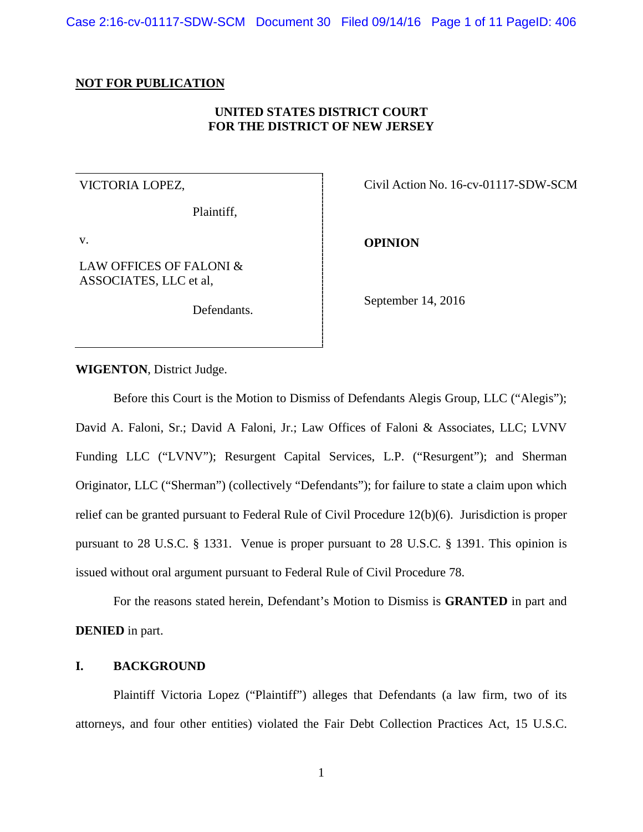Case 2:16-cv-01117-SDW-SCM Document 30 Filed 09/14/16 Page 1 of 11 PageID: 406

### **NOT FOR PUBLICATION**

## **UNITED STATES DISTRICT COURT FOR THE DISTRICT OF NEW JERSEY**

### VICTORIA LOPEZ,

Plaintiff,

v.

LAW OFFICES OF FALONI & ASSOCIATES, LLC et al,

Defendants.

Civil Action No. 16-cv-01117-SDW-SCM

**OPINION**

September 14, 2016

**WIGENTON**, District Judge.

Before this Court is the Motion to Dismiss of Defendants Alegis Group, LLC ("Alegis"); David A. Faloni, Sr.; David A Faloni, Jr.; Law Offices of Faloni & Associates, LLC; LVNV Funding LLC ("LVNV"); Resurgent Capital Services, L.P. ("Resurgent"); and Sherman Originator, LLC ("Sherman") (collectively "Defendants"); for failure to state a claim upon which relief can be granted pursuant to Federal Rule of Civil Procedure 12(b)(6). Jurisdiction is proper pursuant to 28 U.S.C. § 1331. Venue is proper pursuant to 28 U.S.C. § 1391. This opinion is issued without oral argument pursuant to Federal Rule of Civil Procedure 78.

For the reasons stated herein, Defendant's Motion to Dismiss is **GRANTED** in part and **DENIED** in part.

# **I. BACKGROUND**

Plaintiff Victoria Lopez ("Plaintiff") alleges that Defendants (a law firm, two of its attorneys, and four other entities) violated the Fair Debt Collection Practices Act, 15 U.S.C.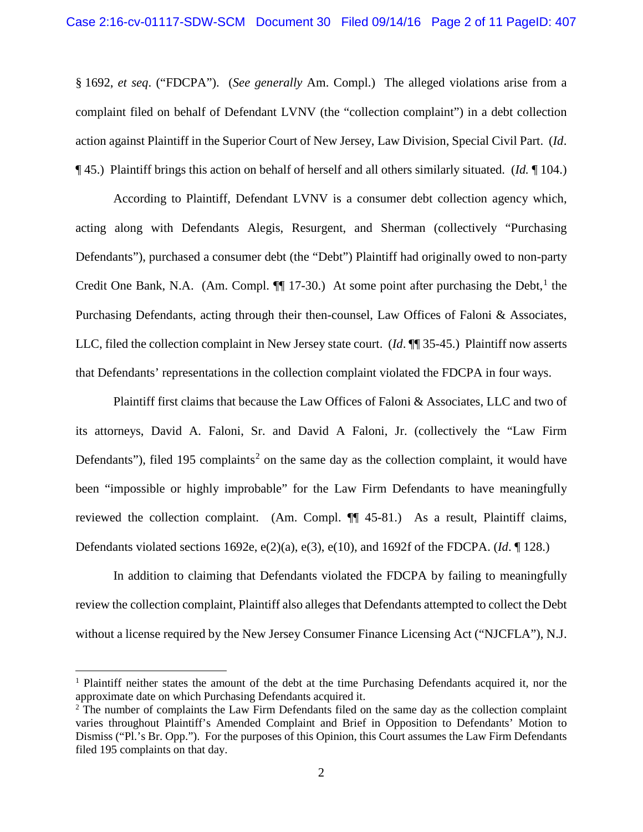§ 1692, *et seq*. ("FDCPA"). (*See generally* Am. Compl.) The alleged violations arise from a complaint filed on behalf of Defendant LVNV (the "collection complaint") in a debt collection action against Plaintiff in the Superior Court of New Jersey, Law Division, Special Civil Part. (*Id*. ¶ 45.) Plaintiff brings this action on behalf of herself and all others similarly situated. (*Id.* ¶ 104.)

According to Plaintiff, Defendant LVNV is a consumer debt collection agency which, acting along with Defendants Alegis, Resurgent, and Sherman (collectively "Purchasing Defendants"), purchased a consumer debt (the "Debt") Plaintiff had originally owed to non-party Credit One Bank, N.A. (Am. Compl. **[[1](#page-1-0)]** 17-30.) At some point after purchasing the Debt, <sup>1</sup> the Purchasing Defendants, acting through their then-counsel, Law Offices of Faloni & Associates, LLC, filed the collection complaint in New Jersey state court. (*Id*. ¶¶ 35-45.) Plaintiff now asserts that Defendants' representations in the collection complaint violated the FDCPA in four ways.

Plaintiff first claims that because the Law Offices of Faloni & Associates, LLC and two of its attorneys, David A. Faloni, Sr. and David A Faloni, Jr. (collectively the "Law Firm Defendants"), filed 195 complaints<sup>[2](#page-1-1)</sup> on the same day as the collection complaint, it would have been "impossible or highly improbable" for the Law Firm Defendants to have meaningfully reviewed the collection complaint. (Am. Compl. ¶¶ 45-81.) As a result, Plaintiff claims, Defendants violated sections 1692e, e(2)(a), e(3), e(10), and 1692f of the FDCPA. (*Id*. ¶ 128.)

In addition to claiming that Defendants violated the FDCPA by failing to meaningfully review the collection complaint, Plaintiff also alleges that Defendants attempted to collect the Debt without a license required by the New Jersey Consumer Finance Licensing Act ("NJCFLA"), N.J.

 $\overline{\phantom{a}}$ 

<span id="page-1-0"></span><sup>&</sup>lt;sup>1</sup> Plaintiff neither states the amount of the debt at the time Purchasing Defendants acquired it, nor the approximate date on which Purchasing Defendants acquired it.

<span id="page-1-1"></span><sup>&</sup>lt;sup>2</sup> The number of complaints the Law Firm Defendants filed on the same day as the collection complaint varies throughout Plaintiff's Amended Complaint and Brief in Opposition to Defendants' Motion to Dismiss ("Pl.'s Br. Opp."). For the purposes of this Opinion, this Court assumes the Law Firm Defendants filed 195 complaints on that day.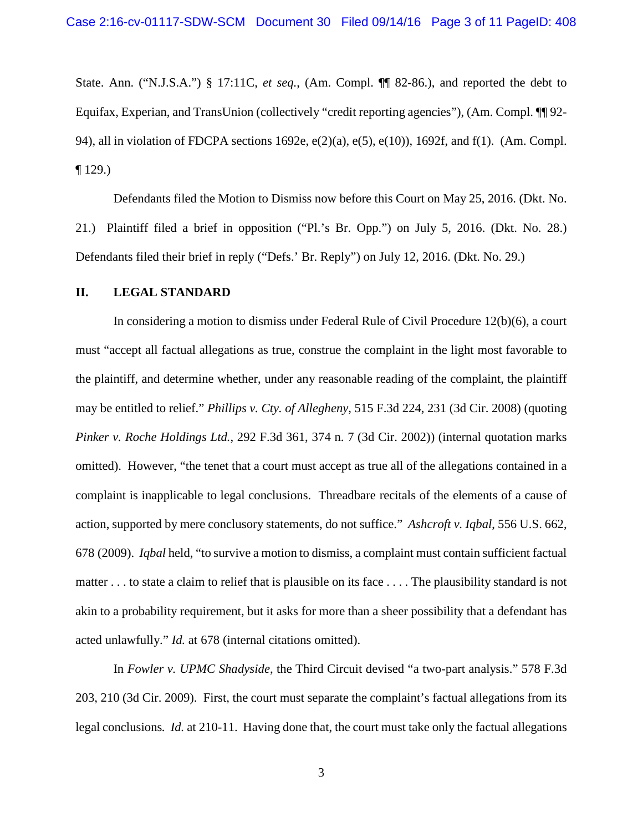State. Ann. ("N.J.S.A.") § 17:11C, *et seq.*, (Am. Compl. ¶¶ 82-86.), and reported the debt to Equifax, Experian, and TransUnion (collectively "credit reporting agencies"), (Am. Compl. ¶¶ 92- 94), all in violation of FDCPA sections 1692e, e(2)(a), e(5), e(10)), 1692f, and f(1). (Am. Compl. ¶ 129.)

Defendants filed the Motion to Dismiss now before this Court on May 25, 2016. (Dkt. No. 21.) Plaintiff filed a brief in opposition ("Pl.'s Br. Opp.") on July 5, 2016. (Dkt. No. 28.) Defendants filed their brief in reply ("Defs.' Br. Reply") on July 12, 2016. (Dkt. No. 29.)

#### **II. LEGAL STANDARD**

In considering a motion to dismiss under Federal Rule of Civil Procedure 12(b)(6), a court must "accept all factual allegations as true, construe the complaint in the light most favorable to the plaintiff, and determine whether, under any reasonable reading of the complaint, the plaintiff may be entitled to relief." *Phillips v. Cty. of Allegheny*, 515 F.3d 224, 231 (3d Cir. 2008) (quoting *Pinker v. Roche Holdings Ltd.*, 292 F.3d 361, 374 n. 7 (3d Cir. 2002)) (internal quotation marks omitted). However, "the tenet that a court must accept as true all of the allegations contained in a complaint is inapplicable to legal conclusions. Threadbare recitals of the elements of a cause of action, supported by mere conclusory statements, do not suffice." *Ashcroft v. Iqbal*, 556 U.S. 662, 678 (2009). *Iqbal* held, "to survive a motion to dismiss, a complaint must contain sufficient factual matter . . . to state a claim to relief that is plausible on its face . . . . The plausibility standard is not akin to a probability requirement, but it asks for more than a sheer possibility that a defendant has acted unlawfully." *Id.* at 678 (internal citations omitted).

In *Fowler v. UPMC Shadyside*, the Third Circuit devised "a two-part analysis." 578 F.3d 203, 210 (3d Cir. 2009). First, the court must separate the complaint's factual allegations from its legal conclusions*. Id.* at 210-11. Having done that, the court must take only the factual allegations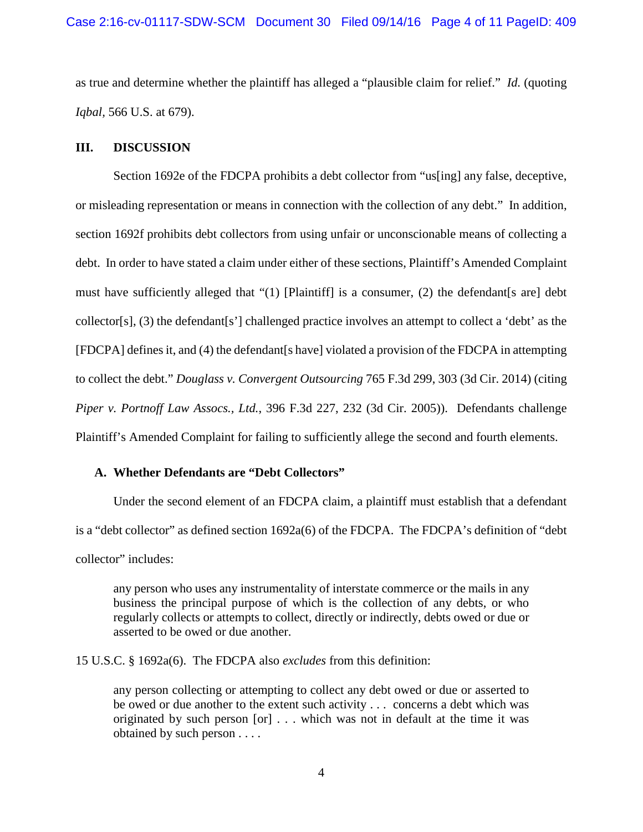as true and determine whether the plaintiff has alleged a "plausible claim for relief." *Id.* (quoting *Iqbal,* 566 U.S. at 679).

### **III. DISCUSSION**

Section 1692e of the FDCPA prohibits a debt collector from "us[ing] any false, deceptive, or misleading representation or means in connection with the collection of any debt." In addition, section 1692f prohibits debt collectors from using unfair or unconscionable means of collecting a debt. In order to have stated a claim under either of these sections, Plaintiff's Amended Complaint must have sufficiently alleged that "(1) [Plaintiff] is a consumer, (2) the defendant[s are] debt collector[s], (3) the defendant[s'] challenged practice involves an attempt to collect a 'debt' as the [FDCPA] defines it, and (4) the defendant[s have] violated a provision of the FDCPA in attempting to collect the debt." *Douglass v. Convergent Outsourcing* 765 F.3d 299, 303 (3d Cir. 2014) (citing *Piper v. Portnoff Law Assocs., Ltd.*, 396 F.3d 227, 232 (3d Cir. 2005)). Defendants challenge Plaintiff's Amended Complaint for failing to sufficiently allege the second and fourth elements.

## **A. Whether Defendants are "Debt Collectors"**

Under the second element of an FDCPA claim, a plaintiff must establish that a defendant is a "debt collector" as defined section 1692a(6) of the FDCPA. The FDCPA's definition of "debt collector" includes:

any person who uses any instrumentality of interstate commerce or the mails in any business the principal purpose of which is the collection of any debts, or who regularly collects or attempts to collect, directly or indirectly, debts owed or due or asserted to be owed or due another.

15 U.S.C. § 1692a(6). The FDCPA also *excludes* from this definition:

any person collecting or attempting to collect any debt owed or due or asserted to be owed or due another to the extent such activity . . . concerns a debt which was originated by such person [or] . . . which was not in default at the time it was obtained by such person . . . .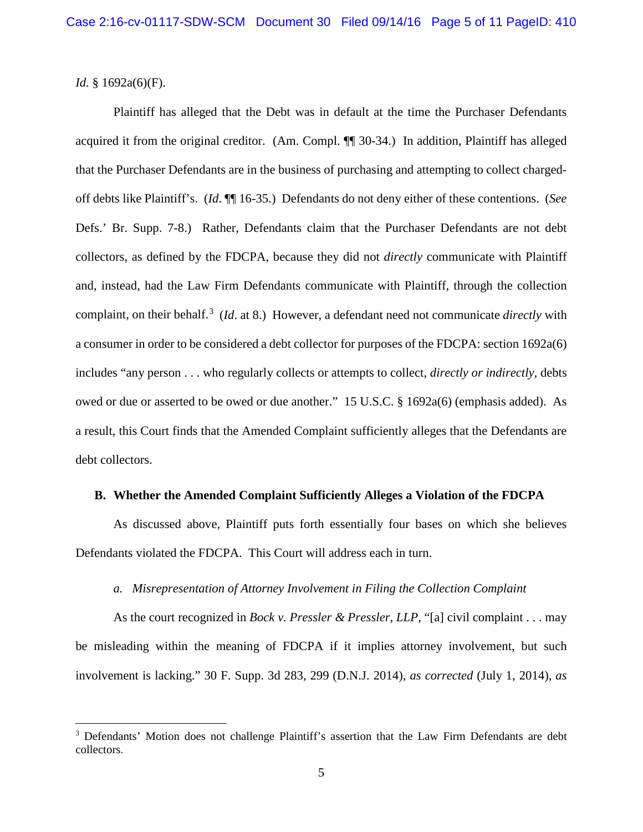*Id.* § 1692a(6)(F).

 $\overline{\phantom{a}}$ 

Plaintiff has alleged that the Debt was in default at the time the Purchaser Defendants acquired it from the original creditor. (Am. Compl. ¶¶ 30-34.) In addition, Plaintiff has alleged that the Purchaser Defendants are in the business of purchasing and attempting to collect chargedoff debts like Plaintiff's. (*Id*. ¶¶ 16-35.) Defendants do not deny either of these contentions. (*See*  Defs.' Br. Supp. 7-8.) Rather, Defendants claim that the Purchaser Defendants are not debt collectors, as defined by the FDCPA, because they did not *directly* communicate with Plaintiff and, instead, had the Law Firm Defendants communicate with Plaintiff, through the collection complaint, on their behalf.<sup>[3](#page-4-0)</sup> (*Id*. at 8.) However, a defendant need not communicate *directly* with a consumer in order to be considered a debt collector for purposes of the FDCPA: section 1692a(6) includes "any person . . . who regularly collects or attempts to collect, *directly or indirectly*, debts owed or due or asserted to be owed or due another." 15 U.S.C. § 1692a(6) (emphasis added). As a result, this Court finds that the Amended Complaint sufficiently alleges that the Defendants are debt collectors.

#### **B. Whether the Amended Complaint Sufficiently Alleges a Violation of the FDCPA**

As discussed above, Plaintiff puts forth essentially four bases on which she believes Defendants violated the FDCPA. This Court will address each in turn.

#### *a. Misrepresentation of Attorney Involvement in Filing the Collection Complaint*

As the court recognized in *Bock v. Pressler & Pressler, LLP*, "[a] civil complaint . . . may be misleading within the meaning of FDCPA if it implies attorney involvement, but such involvement is lacking." 30 F. Supp. 3d 283, 299 (D.N.J. 2014), *as corrected* (July 1, 2014), *as* 

<span id="page-4-0"></span><sup>&</sup>lt;sup>3</sup> Defendants' Motion does not challenge Plaintiff's assertion that the Law Firm Defendants are debt collectors.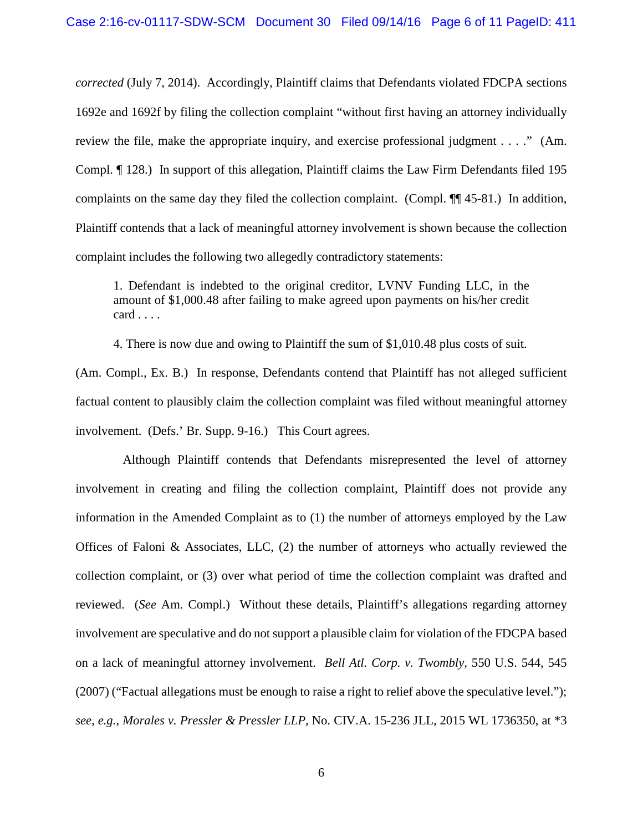*corrected* (July 7, 2014). Accordingly, Plaintiff claims that Defendants violated FDCPA sections 1692e and 1692f by filing the collection complaint "without first having an attorney individually review the file, make the appropriate inquiry, and exercise professional judgment . . . ." (Am. Compl. ¶ 128.) In support of this allegation, Plaintiff claims the Law Firm Defendants filed 195 complaints on the same day they filed the collection complaint. (Compl. ¶¶ 45-81.) In addition, Plaintiff contends that a lack of meaningful attorney involvement is shown because the collection complaint includes the following two allegedly contradictory statements:

1. Defendant is indebted to the original creditor, LVNV Funding LLC, in the amount of \$1,000.48 after failing to make agreed upon payments on his/her credit card . . . .

4. There is now due and owing to Plaintiff the sum of \$1,010.48 plus costs of suit.

(Am. Compl., Ex. B.) In response, Defendants contend that Plaintiff has not alleged sufficient factual content to plausibly claim the collection complaint was filed without meaningful attorney involvement. (Defs.' Br. Supp. 9-16.) This Court agrees.

 Although Plaintiff contends that Defendants misrepresented the level of attorney involvement in creating and filing the collection complaint, Plaintiff does not provide any information in the Amended Complaint as to (1) the number of attorneys employed by the Law Offices of Faloni & Associates, LLC,  $(2)$  the number of attorneys who actually reviewed the collection complaint, or (3) over what period of time the collection complaint was drafted and reviewed. (*See* Am. Compl.) Without these details, Plaintiff's allegations regarding attorney involvement are speculative and do not support a plausible claim for violation of the FDCPA based on a lack of meaningful attorney involvement. *Bell Atl. Corp. v. Twombly*, 550 U.S. 544, 545 (2007) ("Factual allegations must be enough to raise a right to relief above the speculative level."); *see, e.g.*, *Morales v. Pressler & Pressler LLP*, No. CIV.A. 15-236 JLL, 2015 WL 1736350, at \*3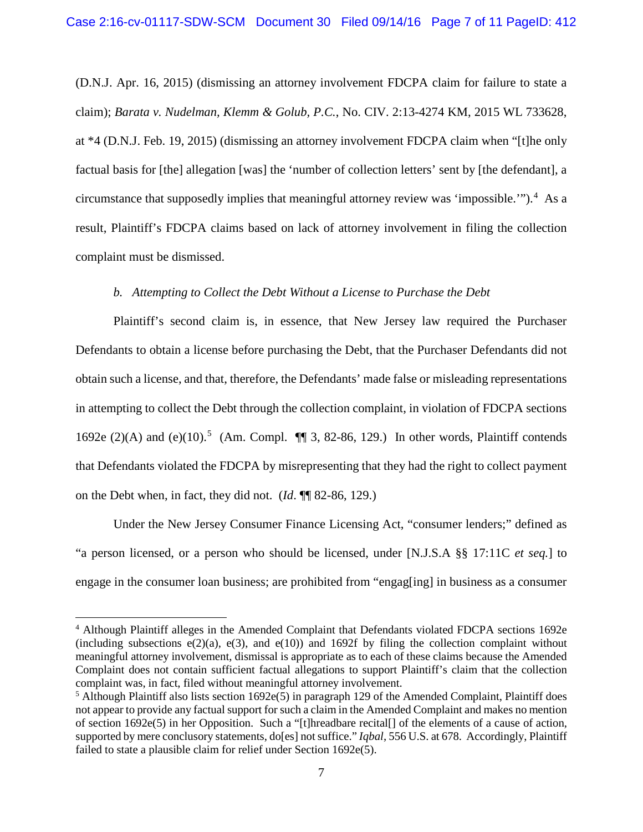(D.N.J. Apr. 16, 2015) (dismissing an attorney involvement FDCPA claim for failure to state a claim); *Barata v. Nudelman, Klemm & Golub, P.C.*, No. CIV. 2:13-4274 KM, 2015 WL 733628, at \*4 (D.N.J. Feb. 19, 2015) (dismissing an attorney involvement FDCPA claim when "[t]he only factual basis for [the] allegation [was] the 'number of collection letters' sent by [the defendant], a circumstance that supposedly implies that meaningful attorney review was 'impossible.'"). [4](#page-6-0) As a result, Plaintiff's FDCPA claims based on lack of attorney involvement in filing the collection complaint must be dismissed.

## *b. Attempting to Collect the Debt Without a License to Purchase the Debt*

Plaintiff's second claim is, in essence, that New Jersey law required the Purchaser Defendants to obtain a license before purchasing the Debt, that the Purchaser Defendants did not obtain such a license, and that, therefore, the Defendants' made false or misleading representations in attempting to collect the Debt through the collection complaint, in violation of FDCPA sections 1692e (2)(A) and (e)(10).<sup>[5](#page-6-1)</sup> (Am. Compl.  $\P$  3, 82-86, 129.) In other words, Plaintiff contends that Defendants violated the FDCPA by misrepresenting that they had the right to collect payment on the Debt when, in fact, they did not. (*Id*. ¶¶ 82-86, 129.)

Under the New Jersey Consumer Finance Licensing Act, "consumer lenders;" defined as "a person licensed, or a person who should be licensed, under [N.J.S.A §§ 17:11C *et seq.*] to engage in the consumer loan business; are prohibited from "engag[ing] in business as a consumer

 $\overline{\phantom{a}}$ 

<span id="page-6-0"></span><sup>4</sup> Although Plaintiff alleges in the Amended Complaint that Defendants violated FDCPA sections 1692e (including subsections  $e(2)(a)$ ,  $e(3)$ , and  $e(10)$ ) and 1692f by filing the collection complaint without meaningful attorney involvement, dismissal is appropriate as to each of these claims because the Amended Complaint does not contain sufficient factual allegations to support Plaintiff's claim that the collection complaint was, in fact, filed without meaningful attorney involvement.

<span id="page-6-1"></span> $<sup>5</sup>$  Although Plaintiff also lists section 1692e(5) in paragraph 129 of the Amended Complaint, Plaintiff does</sup> not appear to provide any factual support for such a claim in the Amended Complaint and makes no mention of section 1692e(5) in her Opposition. Such a "[t]hreadbare recital[] of the elements of a cause of action, supported by mere conclusory statements, do[es] not suffice." *Iqbal*, 556 U.S. at 678. Accordingly, Plaintiff failed to state a plausible claim for relief under Section 1692e(5).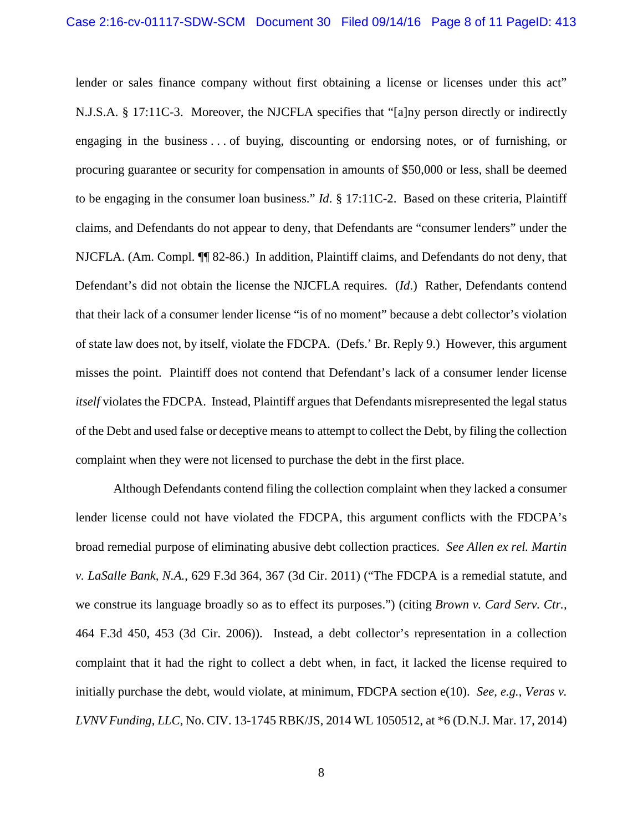lender or sales finance company without first obtaining a license or licenses under this act" N.J.S.A. § 17:11C-3. Moreover, the NJCFLA specifies that "[a]ny person directly or indirectly engaging in the business . . . of buying, discounting or endorsing notes, or of furnishing, or procuring guarantee or security for compensation in amounts of \$50,000 or less, shall be deemed to be engaging in the consumer loan business." *Id*. § 17:11C-2. Based on these criteria, Plaintiff claims, and Defendants do not appear to deny, that Defendants are "consumer lenders" under the NJCFLA. (Am. Compl. ¶¶ 82-86.) In addition, Plaintiff claims, and Defendants do not deny, that Defendant's did not obtain the license the NJCFLA requires. (*Id*.) Rather, Defendants contend that their lack of a consumer lender license "is of no moment" because a debt collector's violation of state law does not, by itself, violate the FDCPA. (Defs.' Br. Reply 9.) However, this argument misses the point. Plaintiff does not contend that Defendant's lack of a consumer lender license *itself* violates the FDCPA. Instead, Plaintiff argues that Defendants misrepresented the legal status of the Debt and used false or deceptive means to attempt to collect the Debt, by filing the collection complaint when they were not licensed to purchase the debt in the first place.

Although Defendants contend filing the collection complaint when they lacked a consumer lender license could not have violated the FDCPA, this argument conflicts with the FDCPA's broad remedial purpose of eliminating abusive debt collection practices. *See Allen ex rel. Martin v. LaSalle Bank, N.A.*, 629 F.3d 364, 367 (3d Cir. 2011) ("The FDCPA is a remedial statute, and we construe its language broadly so as to effect its purposes.") (citing *Brown v. Card Serv. Ctr.,* 464 F.3d 450, 453 (3d Cir. 2006)). Instead, a debt collector's representation in a collection complaint that it had the right to collect a debt when, in fact, it lacked the license required to initially purchase the debt, would violate, at minimum, FDCPA section e(10). *See, e.g.*, *Veras v. LVNV Funding, LLC*, No. CIV. 13-1745 RBK/JS, 2014 WL 1050512, at \*6 (D.N.J. Mar. 17, 2014)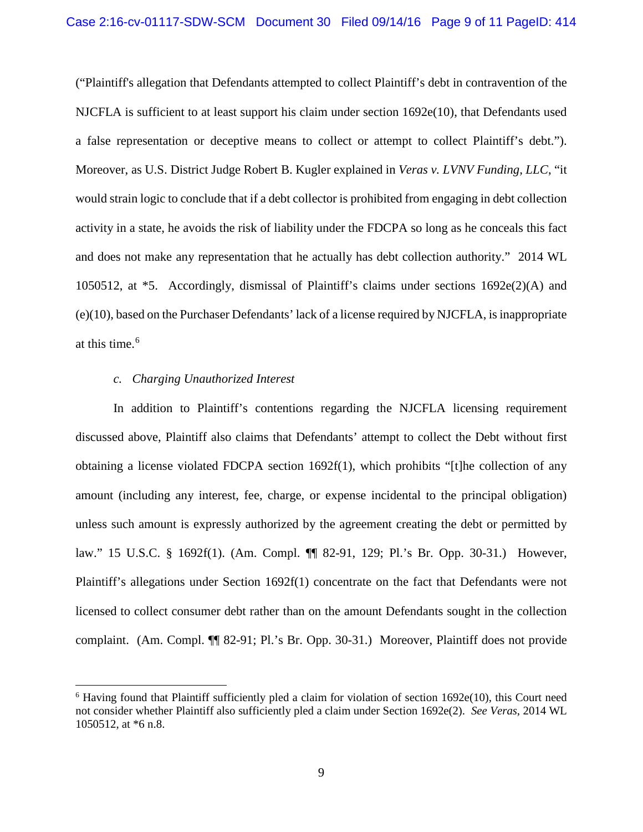("Plaintiff's allegation that Defendants attempted to collect Plaintiff's debt in contravention of the NJCFLA is sufficient to at least support his claim under section 1692e(10), that Defendants used a false representation or deceptive means to collect or attempt to collect Plaintiff's debt."). Moreover, as U.S. District Judge Robert B. Kugler explained in *Veras v. LVNV Funding, LLC*, "it would strain logic to conclude that if a debt collector is prohibited from engaging in debt collection activity in a state, he avoids the risk of liability under the FDCPA so long as he conceals this fact and does not make any representation that he actually has debt collection authority." 2014 WL 1050512, at \*5. Accordingly, dismissal of Plaintiff's claims under sections 1692e(2)(A) and (e)(10), based on the Purchaser Defendants' lack of a license required by NJCFLA, isinappropriate at this time.<sup>[6](#page-8-0)</sup>

### *c. Charging Unauthorized Interest*

l

In addition to Plaintiff's contentions regarding the NJCFLA licensing requirement discussed above, Plaintiff also claims that Defendants' attempt to collect the Debt without first obtaining a license violated FDCPA section  $1692f(1)$ , which prohibits "[t]he collection of any amount (including any interest, fee, charge, or expense incidental to the principal obligation) unless such amount is expressly authorized by the agreement creating the debt or permitted by law." 15 U.S.C. § 1692f(1). (Am. Compl. ¶¶ 82-91, 129; Pl.'s Br. Opp. 30-31.) However, Plaintiff's allegations under Section 1692f(1) concentrate on the fact that Defendants were not licensed to collect consumer debt rather than on the amount Defendants sought in the collection complaint. (Am. Compl. ¶¶ 82-91; Pl.'s Br. Opp. 30-31.) Moreover, Plaintiff does not provide

<span id="page-8-0"></span> $6$  Having found that Plaintiff sufficiently pled a claim for violation of section 1692e(10), this Court need not consider whether Plaintiff also sufficiently pled a claim under Section 1692e(2). *See Veras*, 2014 WL 1050512, at \*6 n.8.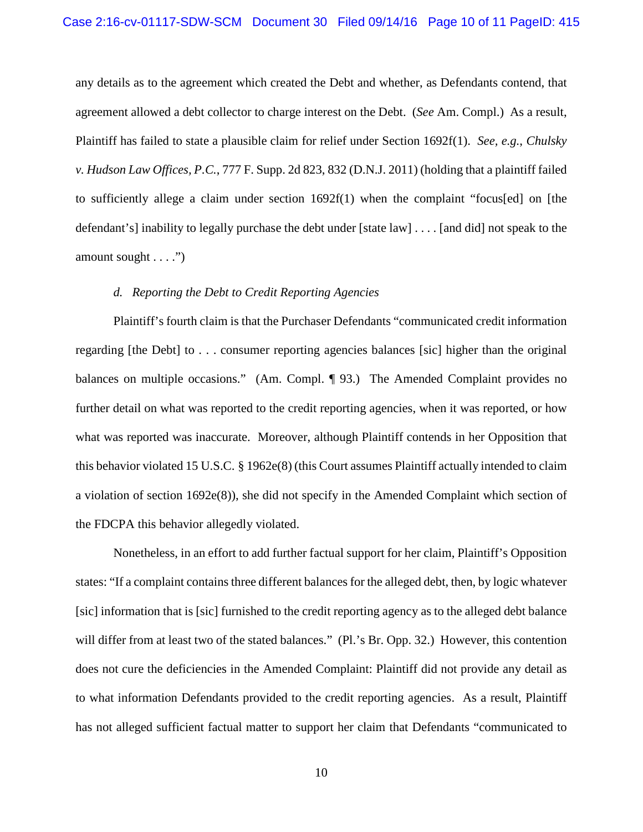any details as to the agreement which created the Debt and whether, as Defendants contend, that agreement allowed a debt collector to charge interest on the Debt. (*See* Am. Compl.) As a result, Plaintiff has failed to state a plausible claim for relief under Section 1692f(1). *See, e.g.*, *Chulsky v. Hudson Law Offices, P.C.*, 777 F. Supp. 2d 823, 832 (D.N.J. 2011) (holding that a plaintiff failed to sufficiently allege a claim under section  $1692f(1)$  when the complaint "focus[ed] on [the defendant's] inability to legally purchase the debt under [state law] . . . . [and did] not speak to the amount sought . . . .")

#### *d. Reporting the Debt to Credit Reporting Agencies*

Plaintiff's fourth claim is that the Purchaser Defendants "communicated credit information regarding [the Debt] to . . . consumer reporting agencies balances [sic] higher than the original balances on multiple occasions." (Am. Compl. ¶ 93.) The Amended Complaint provides no further detail on what was reported to the credit reporting agencies, when it was reported, or how what was reported was inaccurate. Moreover, although Plaintiff contends in her Opposition that this behavior violated 15 U.S.C. § 1962e(8) (this Court assumes Plaintiff actually intended to claim a violation of section 1692e(8)), she did not specify in the Amended Complaint which section of the FDCPA this behavior allegedly violated.

Nonetheless, in an effort to add further factual support for her claim, Plaintiff's Opposition states: "If a complaint contains three different balances for the alleged debt, then, by logic whatever [sic] information that is [sic] furnished to the credit reporting agency as to the alleged debt balance will differ from at least two of the stated balances." (Pl.'s Br. Opp. 32.) However, this contention does not cure the deficiencies in the Amended Complaint: Plaintiff did not provide any detail as to what information Defendants provided to the credit reporting agencies. As a result, Plaintiff has not alleged sufficient factual matter to support her claim that Defendants "communicated to